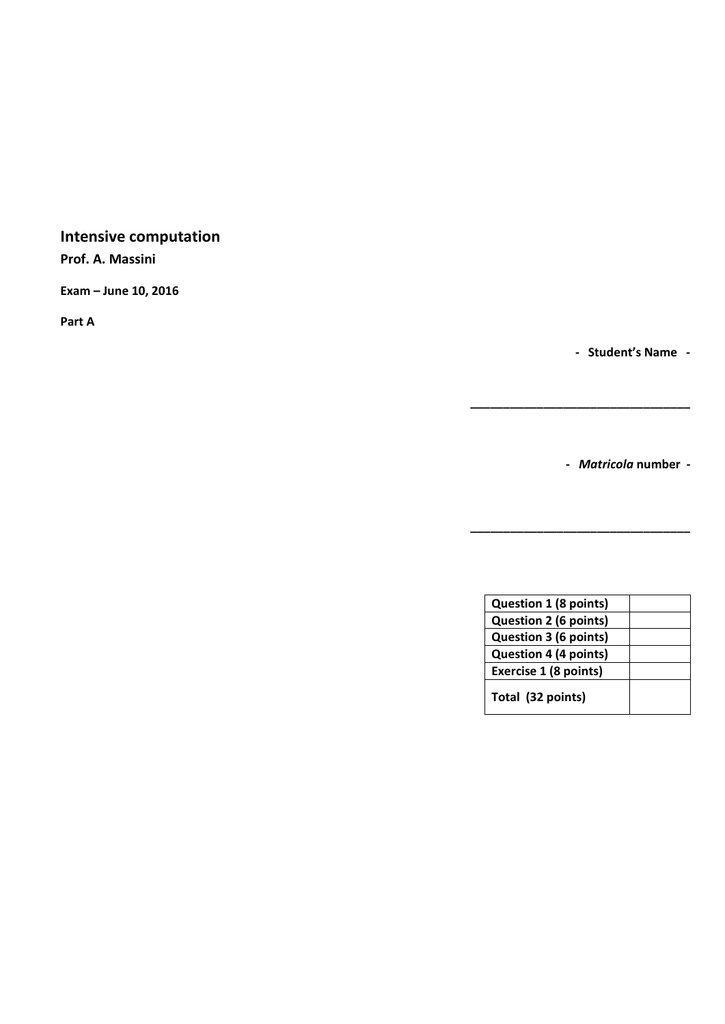# **Intensive computation**

**Prof. A. Massini** 

**Exam – June 10, 2016**

**Part A**

**- Student's Name -**

**-** *Matricola* **number -**

**\_\_\_\_\_\_\_\_\_\_\_\_\_\_\_\_\_\_\_\_\_\_\_\_\_\_\_\_\_\_\_\_\_**

**\_\_\_\_\_\_\_\_\_\_\_\_\_\_\_\_\_\_\_\_\_\_\_\_\_\_\_\_\_\_\_\_\_**

| Question 1 (8 points)        |  |
|------------------------------|--|
| Question 2 (6 points)        |  |
| Question 3 (6 points)        |  |
| <b>Question 4 (4 points)</b> |  |
| Exercise 1 (8 points)        |  |
| Total (32 points)            |  |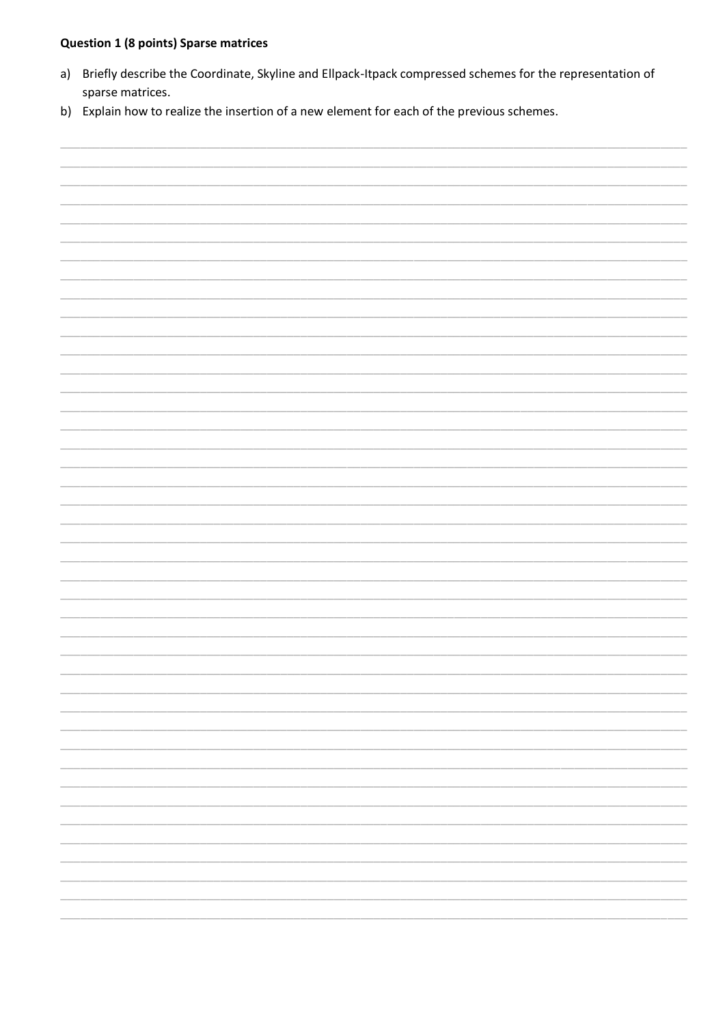## **Question 1 (8 points) Sparse matrices**

- a) Briefly describe the Coordinate, Skyline and Ellpack-Itpack compressed schemes for the representation of sparse matrices.
- b) Explain how to realize the insertion of a new element for each of the previous schemes.

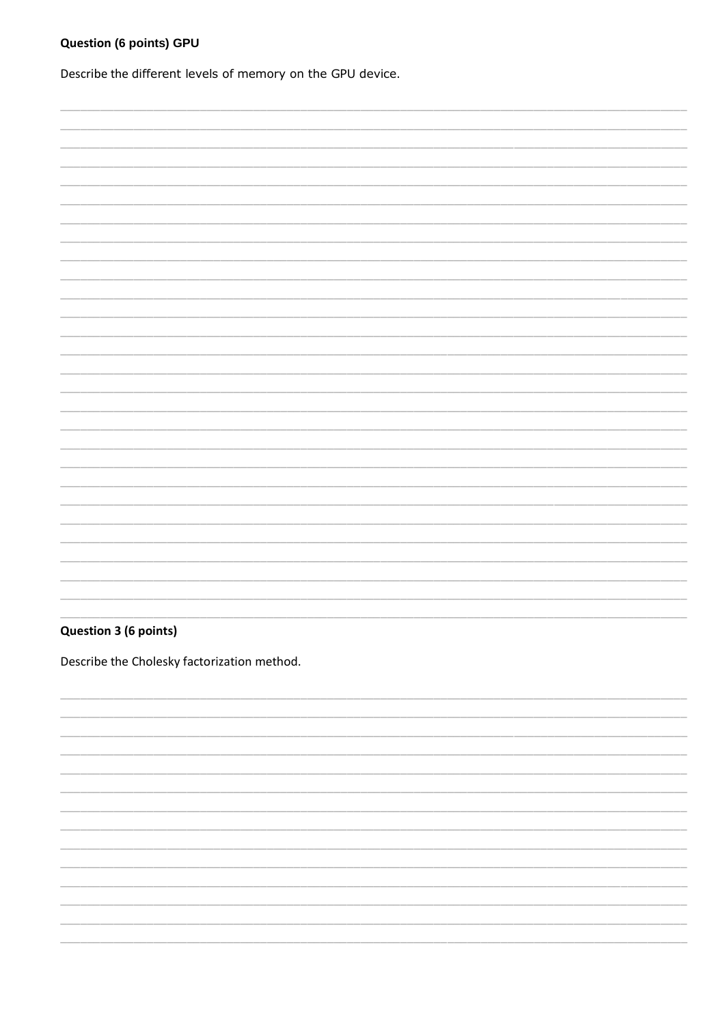## **Question (6 points) GPU**

Describe the different levels of memory on the GPU device.

#### **Question 3 (6 points)**

Describe the Cholesky factorization method.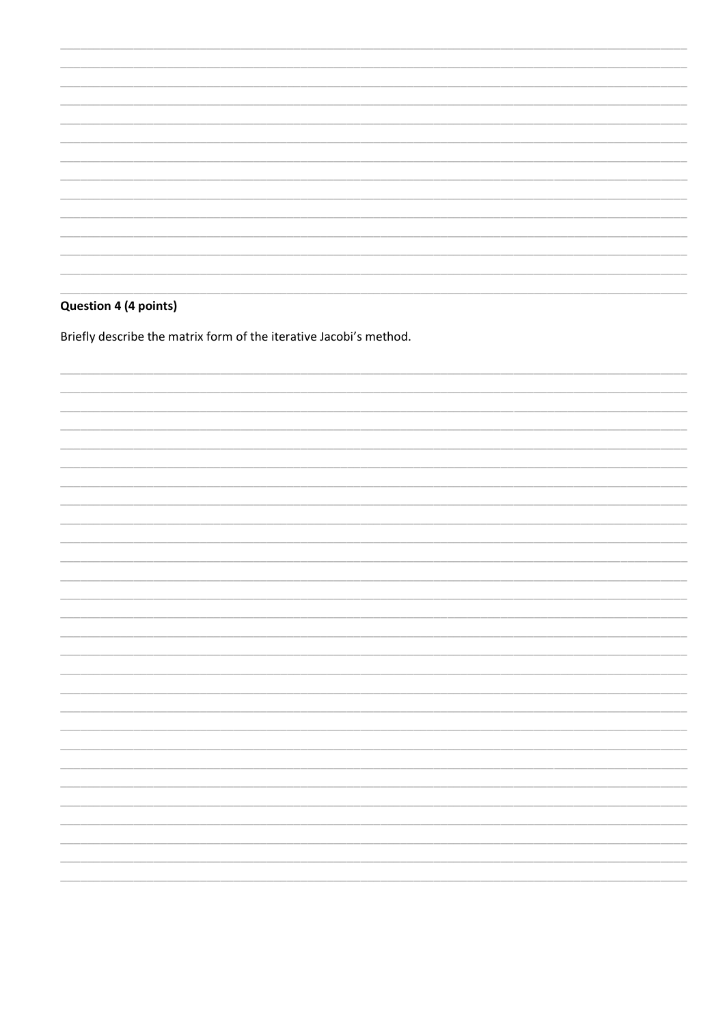## Question 4 (4 points)

Briefly describe the matrix form of the iterative Jacobi's method.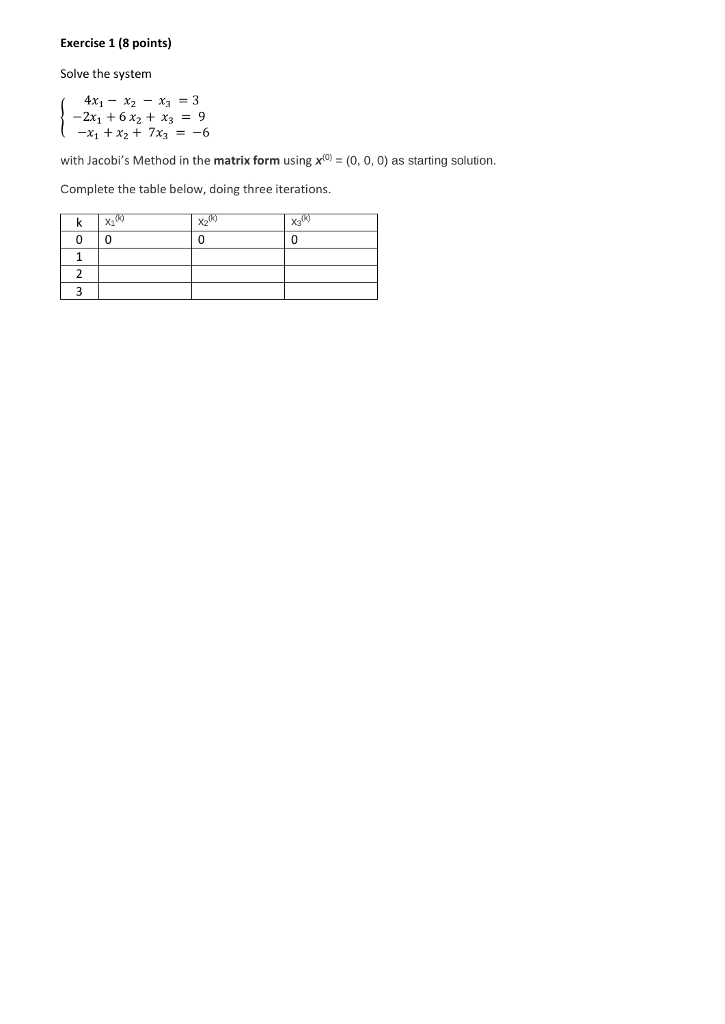## **Exercise 1 (8 points)**

Solve the system

{  $4x_1 - x_2 - x_3 = 3$  $-2x_1 + 6x_2 + x_3 = 9$  $-x_1 + x_2 + 7x_3 = -6$ 

with Jacobi's Method in the **matrix form** using  $\mathbf{x}^{(0)} = (0, 0, 0)$  as starting solution.

Complete the table below, doing three iterations.

| $X_1^{(k)}$ | $X_2^{(k)}$ | $X_3^{(k)}$ |
|-------------|-------------|-------------|
|             |             |             |
|             |             |             |
|             |             |             |
|             |             |             |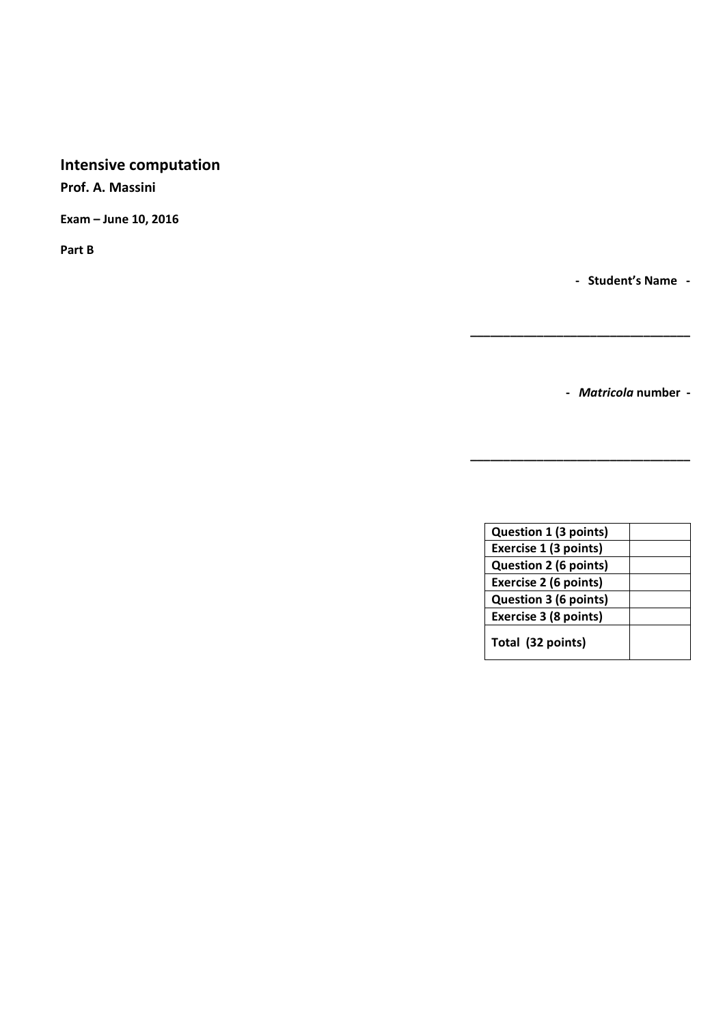# **Intensive computation**

**Prof. A. Massini** 

**Exam – June 10, 2016**

**Part B**

**- Student's Name -**

**-** *Matricola* **number -**

**\_\_\_\_\_\_\_\_\_\_\_\_\_\_\_\_\_\_\_\_\_\_\_\_\_\_\_\_\_\_\_\_\_**

**\_\_\_\_\_\_\_\_\_\_\_\_\_\_\_\_\_\_\_\_\_\_\_\_\_\_\_\_\_\_\_\_\_**

| Question 1 (3 points)        |  |
|------------------------------|--|
| Exercise 1 (3 points)        |  |
| <b>Question 2 (6 points)</b> |  |
| Exercise 2 (6 points)        |  |
| <b>Question 3 (6 points)</b> |  |
| Exercise 3 (8 points)        |  |
| Total (32 points)            |  |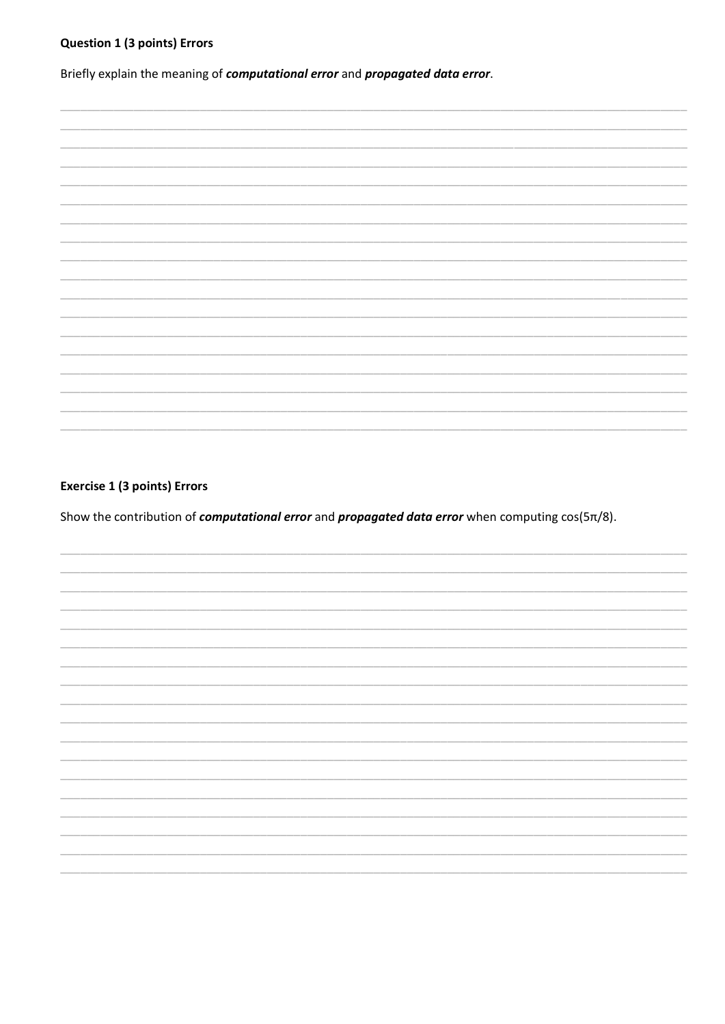## **Question 1 (3 points) Errors**

Briefly explain the meaning of computational error and propagated data error.

#### **Exercise 1 (3 points) Errors**

Show the contribution of *computational error* and *propagated data error* when computing  $cos(5\pi/8)$ .

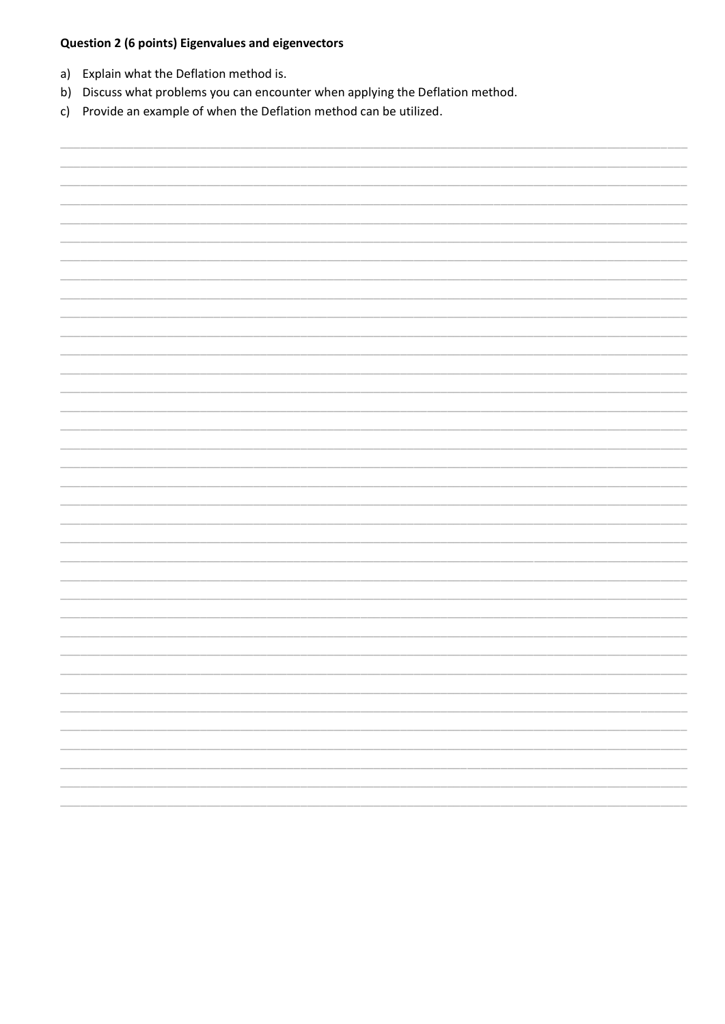## Question 2 (6 points) Eigenvalues and eigenvectors

- a) Explain what the Deflation method is.
- b) Discuss what problems you can encounter when applying the Deflation method.
- c) Provide an example of when the Deflation method can be utilized.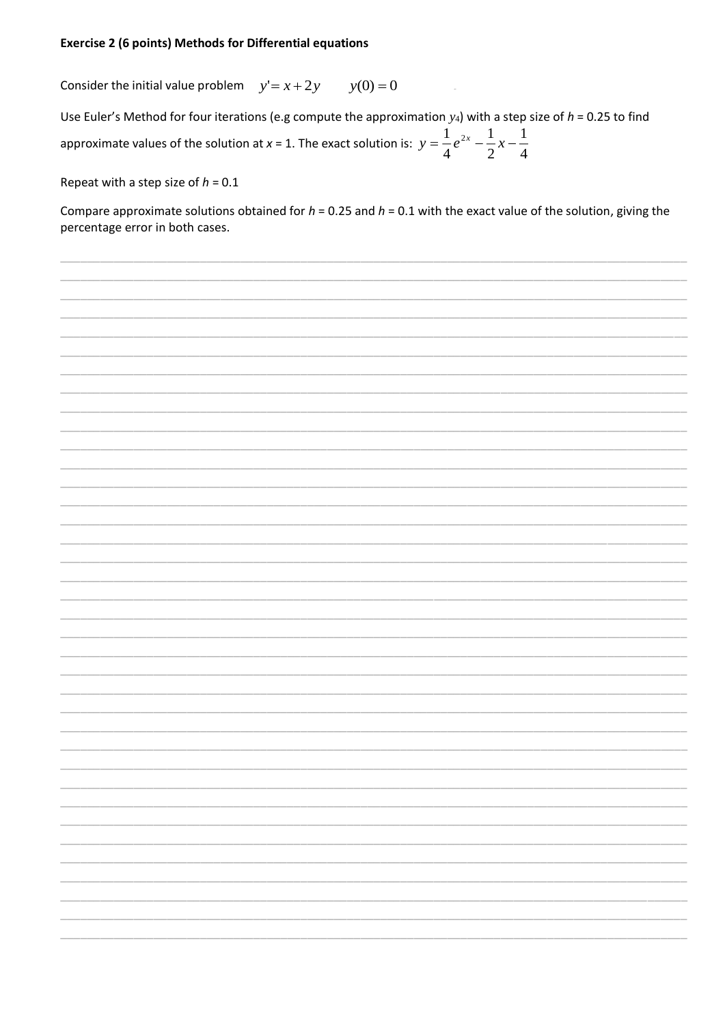#### **Exercise 2 (6 points) Methods for Differential equations**

 $y(0) = 0$ Consider the initial value problem  $y' = x + 2y$ 

Use Euler's Method for four iterations (e.g compute the approximation  $y_4$ ) with a step size of  $h = 0.25$  to find approximate values of the solution at x = 1. The exact solution is:  $y = \frac{1}{4}e^{2x} - \frac{1}{2}x - \frac{1}{4}$ 

Repeat with a step size of  $h = 0.1$ 

Compare approximate solutions obtained for  $h = 0.25$  and  $h = 0.1$  with the exact value of the solution, giving the percentage error in both cases.

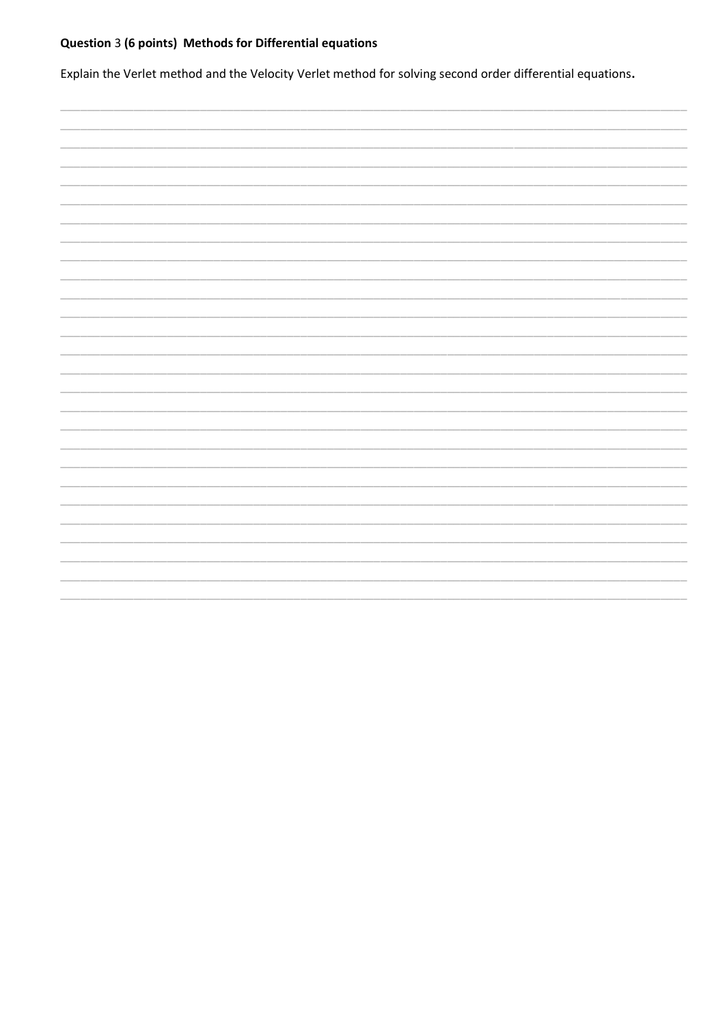# Question 3 (6 points) Methods for Differential equations

Explain the Verlet method and the Velocity Verlet method for solving second order differential equations.